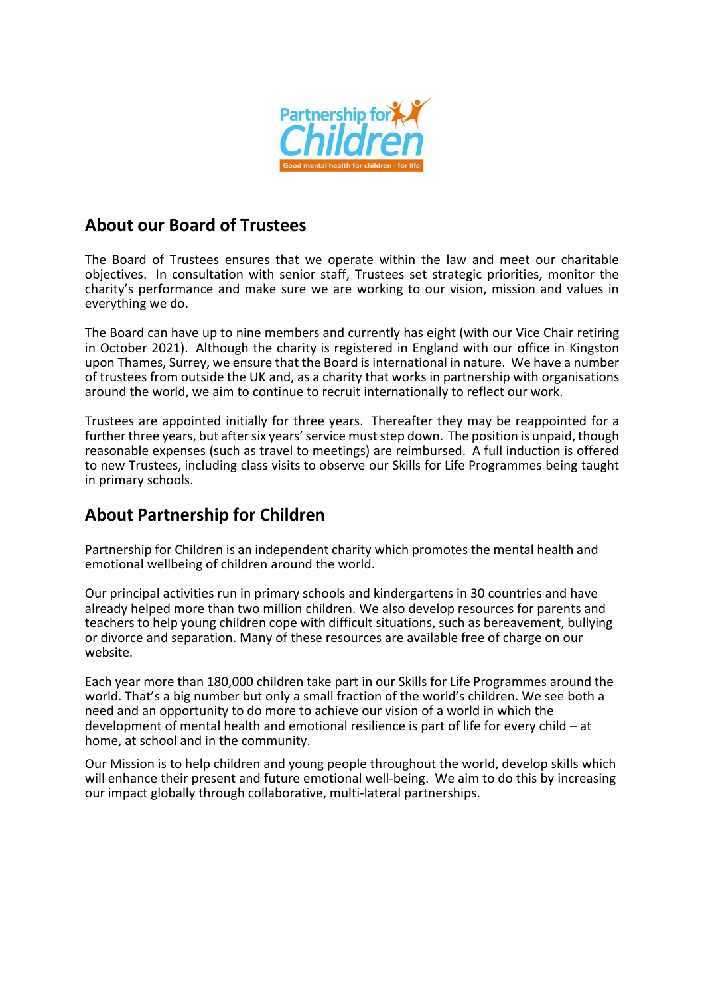

## **About our Board of Trustees**

The Board of Trustees ensures that we operate within the law and meet our charitable objectives. In consultation with senior staff, Trustees set strategic priorities, monitor the charity's performance and make sure we are working to our vision, mission and values in everything we do.

The Board can have up to nine members and currently has eight (with our Vice Chair retiring in October 2021). Although the charity is registered in England with our office in Kingston upon Thames, Surrey, we ensure that the Board is international in nature. We have a number of trustees from outside the UK and, as a charity that works in partnership with organisations around the world, we aim to continue to recruit internationally to reflect our work.

Trustees are appointed initially for three years. Thereafter they may be reappointed for a further three years, but after six years' service must step down. The position is unpaid, though reasonable expenses (such as travel to meetings) are reimbursed. A full induction is offered to new Trustees, including class visits to observe our Skills for Life Programmes being taught in primary schools.

# **About Partnership for Children**

Partnership for Children is an independent charity which promotes the mental health and emotional wellbeing of children around the world.

Our principal activities run in primary schools and kindergartens in 30 countries and have already helped more than two million children. We also develop resources for parents and teachers to help young children cope with difficult situations, such as bereavement, bullying or divorce and separation. Many of these resources are available free of charge on our website.

Each year more than 180,000 children take part in our Skills for Life Programmes around the world. That's a big number but only a small fraction of the world's children. We see both a need and an opportunity to do more to achieve our vision of a world in which the development of mental health and emotional resilience is part of life for every child – at home, at school and in the community.

Our Mission is to help children and young people throughout the world, develop skills which will enhance their present and future emotional well-being. We aim to do this by increasing our impact globally through collaborative, multi-lateral partnerships.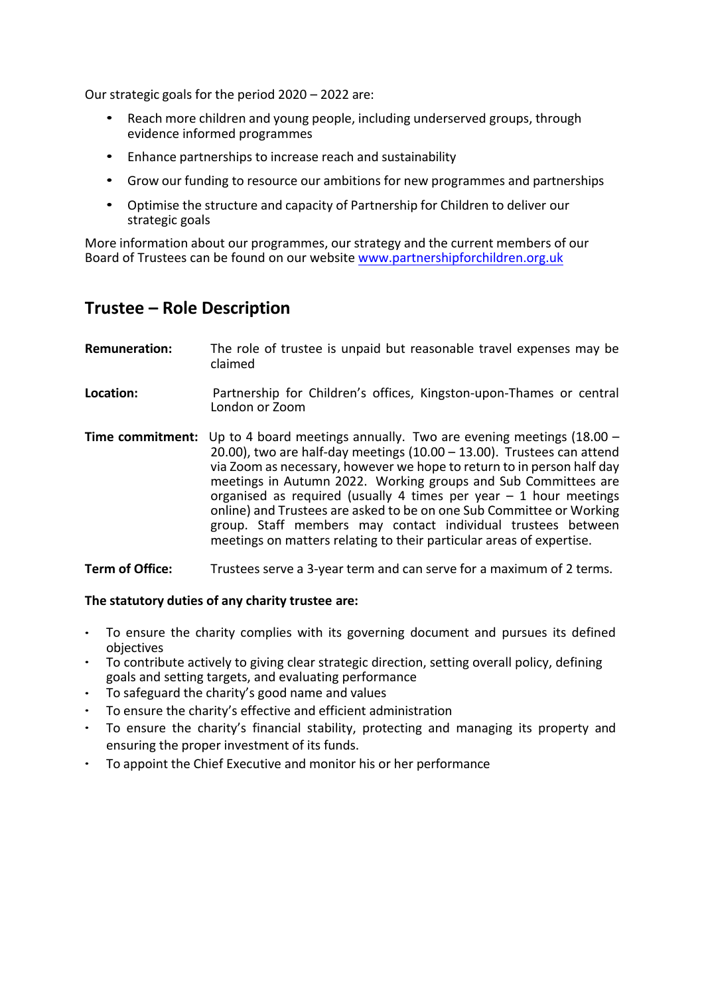Our strategic goals for the period 2020 – 2022 are:

- Reach more children and young people, including underserved groups, through evidence informed programmes
- Enhance partnerships to increase reach and sustainability
- Grow our funding to resource our ambitions for new programmes and partnerships
- Optimise the structure and capacity of Partnership for Children to deliver our strategic goals

More information about our programmes, our strategy and the current members of our Board of Trustees can be found on our website www.partnershipforchildren.org.uk

## **Trustee – Role Description**

| <b>Remuneration:</b> | The role of trustee is unpaid but reasonable travel expenses may be<br>claimed                                                                                                                                                                                                                                                                                                                                                                                                                                                                                                      |
|----------------------|-------------------------------------------------------------------------------------------------------------------------------------------------------------------------------------------------------------------------------------------------------------------------------------------------------------------------------------------------------------------------------------------------------------------------------------------------------------------------------------------------------------------------------------------------------------------------------------|
| Location:            | Partnership for Children's offices, Kingston-upon-Thames or central<br>London or Zoom                                                                                                                                                                                                                                                                                                                                                                                                                                                                                               |
| Time commitment:     | Up to 4 board meetings annually. Two are evening meetings $(18.00 -$<br>20.00), two are half-day meetings $(10.00 - 13.00)$ . Trustees can attend<br>via Zoom as necessary, however we hope to return to in person half day<br>meetings in Autumn 2022. Working groups and Sub Committees are<br>organised as required (usually 4 times per year $-1$ hour meetings<br>online) and Trustees are asked to be on one Sub Committee or Working<br>group. Staff members may contact individual trustees between<br>meetings on matters relating to their particular areas of expertise. |

#### **Term of Office:** Trustees serve a 3-year term and can serve for a maximum of 2 terms.

### **The statutory duties of any charity trustee are:**

- To ensure the charity complies with its governing document and pursues its defined objectives
- To contribute actively to giving clear strategic direction, setting overall policy, defining goals and setting targets, and evaluating performance
- To safeguard the charity's good name and values
- To ensure the charity's effective and efficient administration
- To ensure the charity's financial stability, protecting and managing its property and ensuring the proper investment of its funds.
- To appoint the Chief Executive and monitor his or her performance